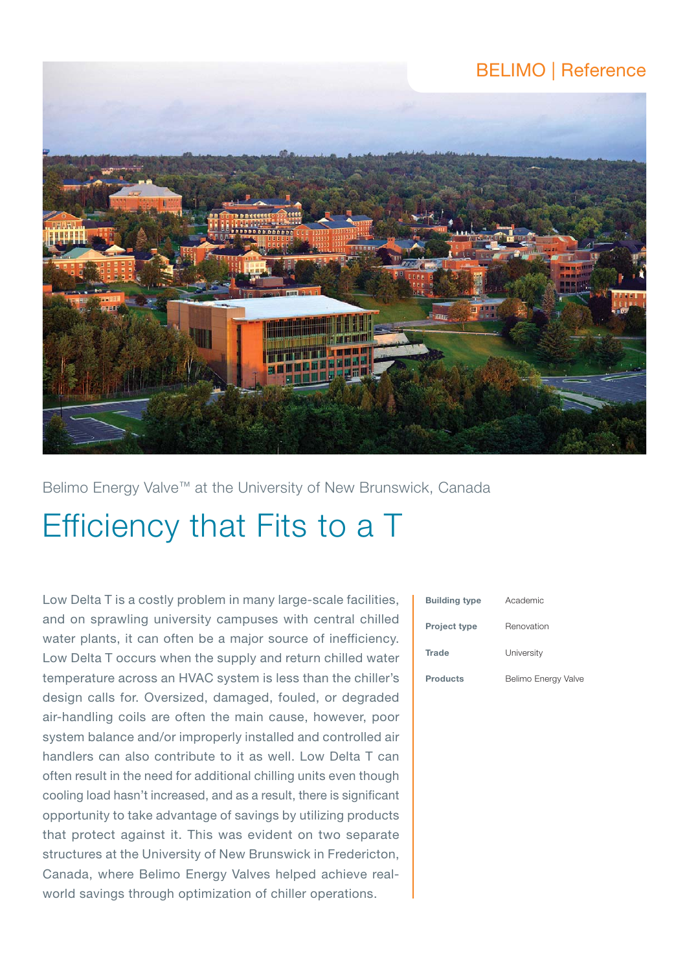# BELIMO | Reference



Belimo Energy Valve™ at the University of New Brunswick, Canada

# Efficiency that Fits to a T

Low Delta T is a costly problem in many large-scale facilities, and on sprawling university campuses with central chilled water plants, it can often be a major source of inefficiency. Low Delta T occurs when the supply and return chilled water temperature across an HVAC system is less than the chiller's design calls for. Oversized, damaged, fouled, or degraded air-handling coils are often the main cause, however, poor system balance and/or improperly installed and controlled air handlers can also contribute to it as well. Low Delta T can often result in the need for additional chilling units even though cooling load hasn't increased, and as a result, there is significant opportunity to take advantage of savings by utilizing products that protect against it. This was evident on two separate structures at the University of New Brunswick in Fredericton, Canada, where Belimo Energy Valves helped achieve realworld savings through optimization of chiller operations.

| <b>Building type</b> | Academic            |
|----------------------|---------------------|
| <b>Project type</b>  | Renovation          |
| <b>Trade</b>         | University          |
| <b>Products</b>      | Belimo Energy Valve |